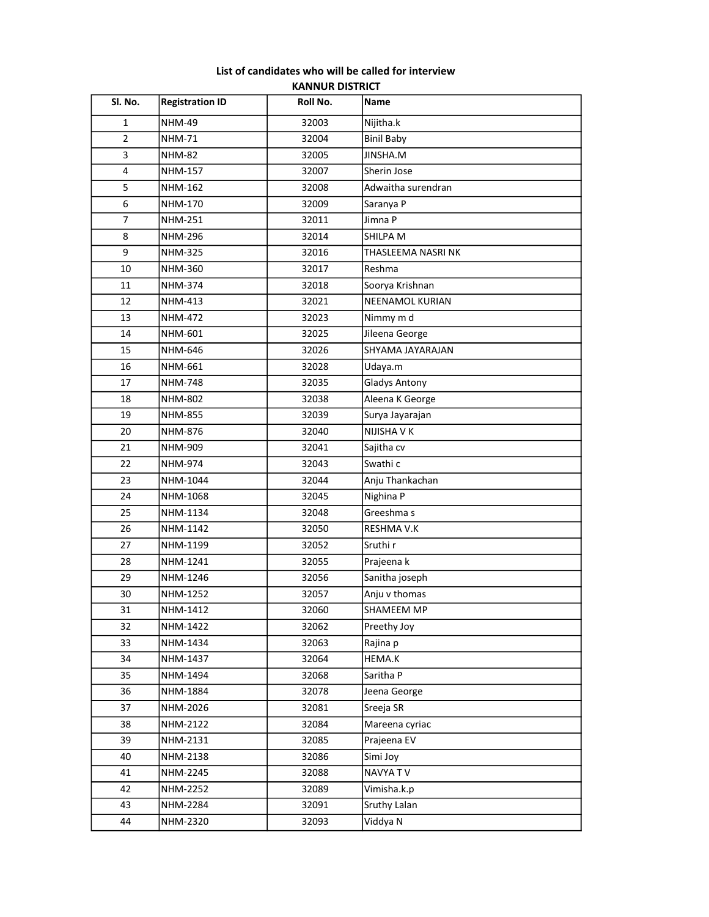## List of candidates who will be called for interview KANNUR DISTRICT

| Sl. No.        | <b>Registration ID</b> | Roll No. | Name                   |
|----------------|------------------------|----------|------------------------|
| $\mathbf{1}$   | <b>NHM-49</b>          | 32003    | Nijitha.k              |
| $\overline{2}$ | <b>NHM-71</b>          | 32004    | <b>Binil Baby</b>      |
| 3              | <b>NHM-82</b>          | 32005    | JINSHA.M               |
| 4              | NHM-157                | 32007    | Sherin Jose            |
| 5              | NHM-162                | 32008    | Adwaitha surendran     |
| 6              | NHM-170                | 32009    | Saranya P              |
| $\overline{7}$ | <b>NHM-251</b>         | 32011    | Jimna P                |
| 8              | NHM-296                | 32014    | SHILPA M               |
| 9              | <b>NHM-325</b>         | 32016    | THASLEEMA NASRI NK     |
| 10             | <b>NHM-360</b>         | 32017    | Reshma                 |
| 11             | <b>NHM-374</b>         | 32018    | Soorya Krishnan        |
| 12             | <b>NHM-413</b>         | 32021    | <b>NEENAMOL KURIAN</b> |
| 13             | <b>NHM-472</b>         | 32023    | Nimmy m d              |
| 14             | NHM-601                | 32025    | Jileena George         |
| 15             | NHM-646                | 32026    | SHYAMA JAYARAJAN       |
| 16             | <b>NHM-661</b>         | 32028    | Udaya.m                |
| 17             | <b>NHM-748</b>         | 32035    | <b>Gladys Antony</b>   |
| 18             | NHM-802                | 32038    | Aleena K George        |
| 19             | <b>NHM-855</b>         | 32039    | Surya Jayarajan        |
| 20             | NHM-876                | 32040    | NIJISHA V K            |
| 21             | NHM-909                | 32041    | Sajitha cv             |
| 22             | NHM-974                | 32043    | Swathi c               |
| 23             | NHM-1044               | 32044    | Anju Thankachan        |
| 24             | NHM-1068               | 32045    | Nighina P              |
| 25             | NHM-1134               | 32048    | Greeshma s             |
| 26             | NHM-1142               | 32050    | RESHMA V.K             |
| 27             | NHM-1199               | 32052    | Sruthi r               |
| 28             | NHM-1241               | 32055    | Prajeena k             |
| 29             | NHM-1246               | 32056    | Sanitha joseph         |
| 30             | NHM-1252               | 32057    | Anju v thomas          |
| 31             | NHM-1412               | 32060    | SHAMEEM MP             |
| 32             | NHM-1422               | 32062    | Preethy Joy            |
| 33             | NHM-1434               | 32063    | Rajina p               |
| 34             | NHM-1437               | 32064    | HEMA.K                 |
| 35             | NHM-1494               | 32068    | Saritha P              |
| 36             | NHM-1884               | 32078    | Jeena George           |
| 37             | NHM-2026               | 32081    | Sreeja SR              |
| 38             | NHM-2122               | 32084    | Mareena cyriac         |
| 39             | NHM-2131               | 32085    | Prajeena EV            |
| 40             | NHM-2138               | 32086    | Simi Joy               |
| 41             | NHM-2245               | 32088    | NAVYA TV               |
| 42             | NHM-2252               | 32089    | Vimisha.k.p            |
| 43             | NHM-2284               | 32091    | Sruthy Lalan           |
| 44             | NHM-2320               | 32093    | Viddya N               |
|                |                        |          |                        |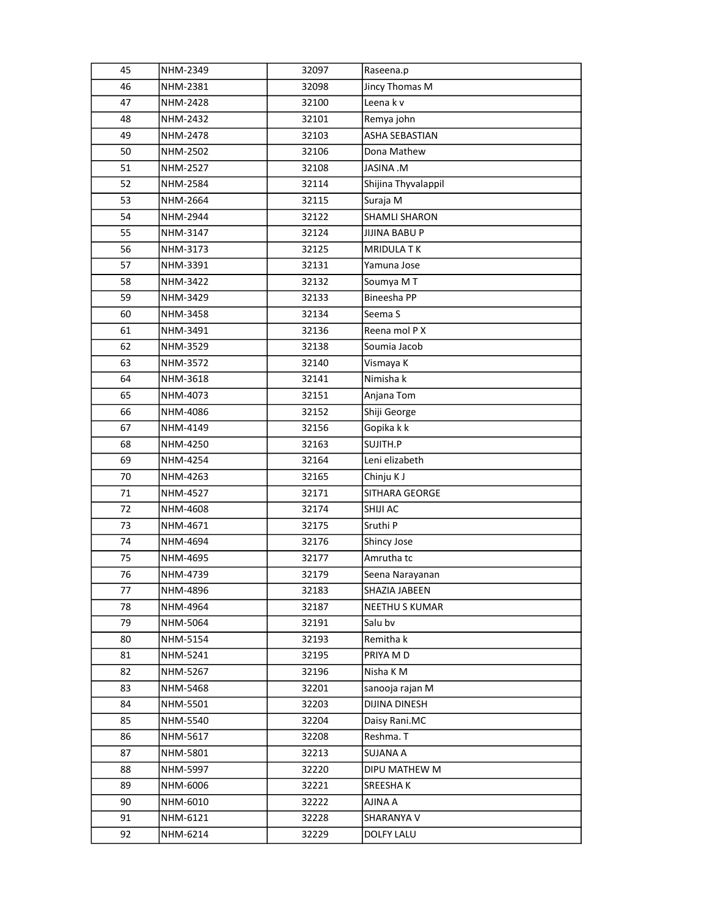| 45 | NHM-2349        | 32097 | Raseena.p            |
|----|-----------------|-------|----------------------|
| 46 | NHM-2381        | 32098 | Jincy Thomas M       |
| 47 | <b>NHM-2428</b> | 32100 | Leena k v            |
| 48 | NHM-2432        | 32101 | Remya john           |
| 49 | NHM-2478        | 32103 | ASHA SEBASTIAN       |
| 50 | NHM-2502        | 32106 | Dona Mathew          |
| 51 | NHM-2527        | 32108 | <b>M. ANIZAL</b>     |
| 52 | NHM-2584        | 32114 | Shijina Thyvalappil  |
| 53 | NHM-2664        | 32115 | Suraja M             |
| 54 | NHM-2944        | 32122 | SHAMLI SHARON        |
| 55 | NHM-3147        | 32124 | <b>JIJINA BABU P</b> |
| 56 | NHM-3173        | 32125 | <b>MRIDULA TK</b>    |
| 57 | NHM-3391        | 32131 | Yamuna Jose          |
| 58 | NHM-3422        | 32132 | Soumya MT            |
| 59 | NHM-3429        | 32133 | Bineesha PP          |
| 60 | NHM-3458        | 32134 | Seema <sub>S</sub>   |
| 61 | NHM-3491        | 32136 | Reena mol P X        |
| 62 | NHM-3529        | 32138 | Soumia Jacob         |
| 63 | NHM-3572        | 32140 | Vismaya K            |
| 64 | NHM-3618        | 32141 | Nimisha k            |
| 65 | NHM-4073        | 32151 | Anjana Tom           |
| 66 | NHM-4086        | 32152 | Shiji George         |
| 67 | NHM-4149        | 32156 | Gopika k k           |
| 68 | NHM-4250        | 32163 | SUJITH.P             |
| 69 | NHM-4254        | 32164 | Leni elizabeth       |
| 70 | NHM-4263        | 32165 | Chinju K J           |
| 71 | NHM-4527        | 32171 | SITHARA GEORGE       |
| 72 | NHM-4608        | 32174 | SHIJI AC             |
| 73 | NHM-4671        | 32175 | Sruthi P             |
| 74 | NHM-4694        | 32176 | Shincy Jose          |
| 75 | NHM-4695        | 32177 | Amrutha tc           |
| 76 | NHM-4739        | 32179 | Seena Narayanan      |
| 77 | NHM-4896        | 32183 | SHAZIA JABEEN        |
| 78 | NHM-4964        | 32187 | NEETHU S KUMAR       |
| 79 | NHM-5064        | 32191 | Salu bv              |
| 80 | NHM-5154        | 32193 | Remitha k            |
| 81 | NHM-5241        | 32195 | PRIYA M D            |
| 82 | NHM-5267        | 32196 | Nisha KM             |
| 83 | NHM-5468        | 32201 | sanooja rajan M      |
| 84 | NHM-5501        | 32203 | DIJINA DINESH        |
| 85 | NHM-5540        | 32204 | Daisy Rani.MC        |
| 86 | NHM-5617        | 32208 | Reshma. T            |
| 87 | NHM-5801        | 32213 | <b>SUJANA A</b>      |
| 88 | NHM-5997        | 32220 | DIPU MATHEW M        |
| 89 | NHM-6006        | 32221 | SREESHA K            |
| 90 | NHM-6010        | 32222 | AJINA A              |
| 91 | NHM-6121        | 32228 | SHARANYA V           |
| 92 | NHM-6214        | 32229 | DOLFY LALU           |
|    |                 |       |                      |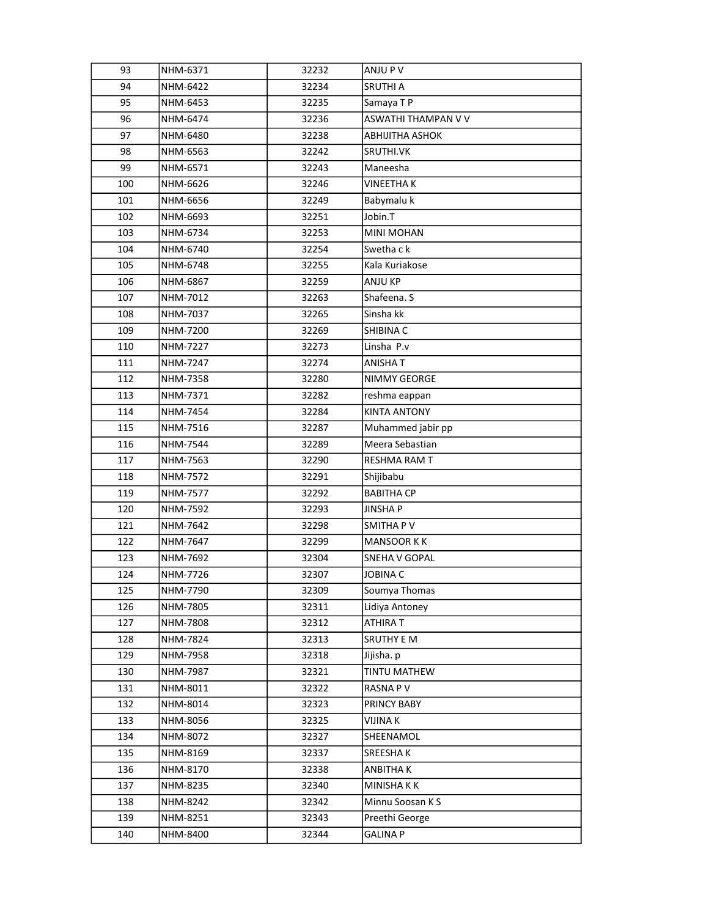| 93  | NHM-6371 | 32232 | ANJU P V            |
|-----|----------|-------|---------------------|
| 94  | NHM-6422 | 32234 | SRUTHI A            |
| 95  | NHM-6453 | 32235 | Samaya TP           |
| 96  | NHM-6474 | 32236 | ASWATHI THAMPAN V V |
| 97  | NHM-6480 | 32238 | ABHIJITHA ASHOK     |
| 98  | NHM-6563 | 32242 | SRUTHI.VK           |
| 99  | NHM-6571 | 32243 | Maneesha            |
| 100 | NHM-6626 | 32246 | <b>VINEETHAK</b>    |
| 101 | NHM-6656 | 32249 | Babymalu k          |
| 102 | NHM-6693 | 32251 | Jobin.T             |
| 103 | NHM-6734 | 32253 | MINI MOHAN          |
| 104 | NHM-6740 | 32254 | Swetha c k          |
| 105 | NHM-6748 | 32255 | Kala Kuriakose      |
| 106 | NHM-6867 | 32259 | ANJU KP             |
| 107 | NHM-7012 | 32263 | Shafeena. S         |
| 108 | NHM-7037 | 32265 | Sinsha kk           |
| 109 | NHM-7200 | 32269 | SHIBINA C           |
| 110 | NHM-7227 | 32273 | Linsha P.v          |
| 111 | NHM-7247 | 32274 | ANISHA T            |
| 112 | NHM-7358 | 32280 | NIMMY GEORGE        |
| 113 | NHM-7371 | 32282 | reshma eappan       |
| 114 | NHM-7454 | 32284 | <b>KINTA ANTONY</b> |
| 115 | NHM-7516 | 32287 | Muhammed jabir pp   |
| 116 | NHM-7544 | 32289 | Meera Sebastian     |
| 117 | NHM-7563 | 32290 | RESHMA RAM T        |
| 118 | NHM-7572 | 32291 | Shijibabu           |
| 119 | NHM-7577 | 32292 | <b>BABITHA CP</b>   |
| 120 | NHM-7592 | 32293 | <b>JINSHAP</b>      |
| 121 | NHM-7642 | 32298 | SMITHA PV           |
| 122 | NHM-7647 | 32299 | <b>MANSOOR KK</b>   |
| 123 | NHM-7692 | 32304 | SNEHA V GOPAL       |
| 124 | NHM-7726 | 32307 | JOBINA C            |
| 125 | NHM-7790 | 32309 | Soumya Thomas       |
| 126 | NHM-7805 | 32311 | Lidiya Antoney      |
| 127 | NHM-7808 | 32312 | ATHIRA T            |
| 128 | NHM-7824 | 32313 | <b>SRUTHY E M</b>   |
| 129 | NHM-7958 | 32318 | Jijisha. p          |
| 130 | NHM-7987 | 32321 | TINTU MATHEW        |
| 131 | NHM-8011 | 32322 | <b>RASNA PV</b>     |
| 132 | NHM-8014 | 32323 | PRINCY BABY         |
| 133 | NHM-8056 | 32325 | <b>VIJINA K</b>     |
| 134 | NHM-8072 | 32327 | SHEENAMOL           |
| 135 | NHM-8169 | 32337 | SREESHA K           |
| 136 | NHM-8170 | 32338 | ANBITHA K           |
| 137 | NHM-8235 | 32340 | MINISHA K K         |
| 138 | NHM-8242 | 32342 | Minnu Soosan K S    |
| 139 | NHM-8251 | 32343 | Preethi George      |
| 140 | NHM-8400 | 32344 | <b>GALINA P</b>     |
|     |          |       |                     |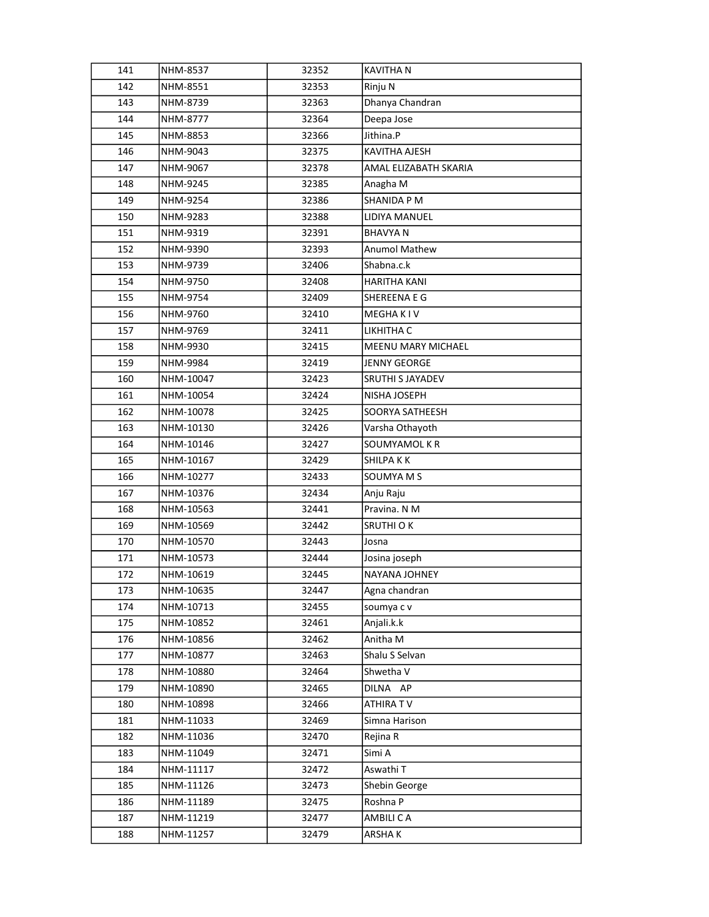| 141 | NHM-8537  | 32352 | <b>KAVITHA N</b>        |
|-----|-----------|-------|-------------------------|
| 142 | NHM-8551  | 32353 | Rinju N                 |
| 143 | NHM-8739  | 32363 | Dhanya Chandran         |
| 144 | NHM-8777  | 32364 | Deepa Jose              |
| 145 | NHM-8853  | 32366 | Jithina.P               |
| 146 | NHM-9043  | 32375 | KAVITHA AJESH           |
| 147 | NHM-9067  | 32378 | AMAL ELIZABATH SKARIA   |
| 148 | NHM-9245  | 32385 | Anagha M                |
| 149 | NHM-9254  | 32386 | SHANIDA P M             |
| 150 | NHM-9283  | 32388 | LIDIYA MANUEL           |
| 151 | NHM-9319  | 32391 | <b>BHAVYAN</b>          |
| 152 | NHM-9390  | 32393 | <b>Anumol Mathew</b>    |
| 153 | NHM-9739  | 32406 | Shabna.c.k              |
| 154 | NHM-9750  | 32408 | HARITHA KANI            |
| 155 | NHM-9754  | 32409 | SHEREENA E G            |
| 156 | NHM-9760  | 32410 | MEGHA K I V             |
| 157 | NHM-9769  | 32411 | LIKHITHA C              |
| 158 | NHM-9930  | 32415 | MEENU MARY MICHAEL      |
| 159 | NHM-9984  | 32419 | <b>JENNY GEORGE</b>     |
| 160 | NHM-10047 | 32423 | <b>SRUTHI S JAYADEV</b> |
| 161 | NHM-10054 | 32424 | NISHA JOSEPH            |
| 162 | NHM-10078 | 32425 | SOORYA SATHEESH         |
| 163 | NHM-10130 | 32426 | Varsha Othayoth         |
| 164 | NHM-10146 | 32427 | SOUMYAMOL K R           |
| 165 | NHM-10167 | 32429 | SHILPA K K              |
| 166 | NHM-10277 | 32433 | SOUMYA M S              |
| 167 | NHM-10376 | 32434 | Anju Raju               |
| 168 | NHM-10563 | 32441 | Pravina. N M            |
| 169 | NHM-10569 | 32442 | SRUTHI O K              |
| 170 | NHM-10570 | 32443 | Josna                   |
| 171 | NHM-10573 | 32444 | Josina joseph           |
| 172 | NHM-10619 | 32445 | NAYANA JOHNEY           |
| 173 | NHM-10635 | 32447 | Agna chandran           |
| 174 | NHM-10713 | 32455 | soumya c v              |
| 175 | NHM-10852 | 32461 | Anjali.k.k              |
| 176 | NHM-10856 | 32462 | Anitha M                |
| 177 | NHM-10877 | 32463 | Shalu S Selvan          |
| 178 | NHM-10880 | 32464 | Shwetha V               |
| 179 | NHM-10890 | 32465 | DILNA AP                |
| 180 | NHM-10898 | 32466 | ATHIRA TV               |
| 181 | NHM-11033 | 32469 | Simna Harison           |
| 182 | NHM-11036 | 32470 | Rejina R                |
| 183 | NHM-11049 | 32471 | Simi A                  |
| 184 | NHM-11117 | 32472 | Aswathi T               |
| 185 | NHM-11126 | 32473 | Shebin George           |
| 186 | NHM-11189 | 32475 | Roshna P                |
| 187 | NHM-11219 | 32477 | AMBILI CA               |
| 188 | NHM-11257 | 32479 | ARSHA K                 |
|     |           |       |                         |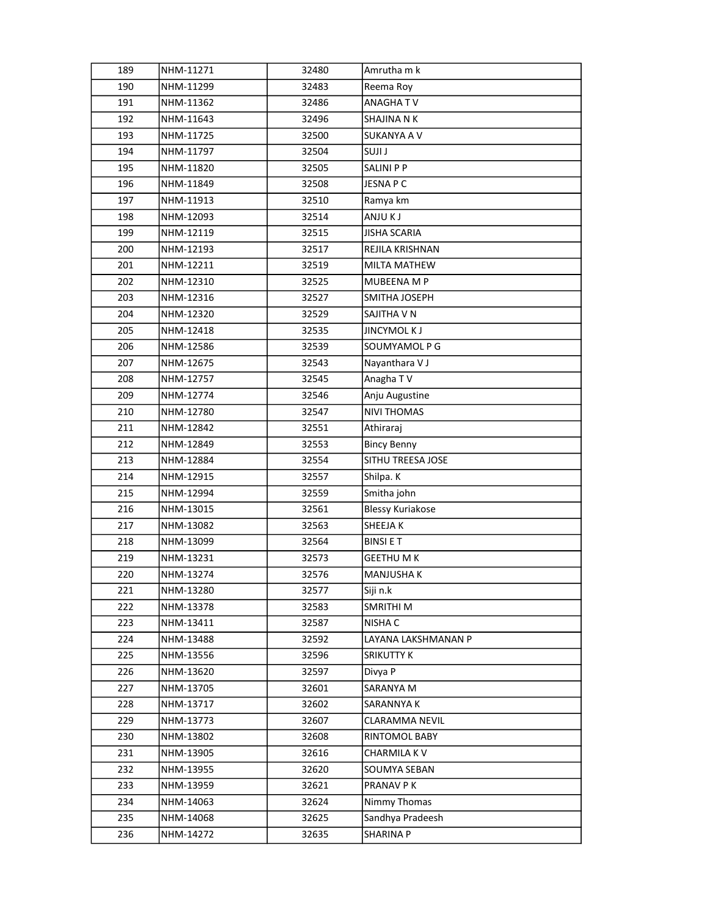| 189 | NHM-11271 | 32480 | Amrutha m k             |
|-----|-----------|-------|-------------------------|
| 190 | NHM-11299 | 32483 | Reema Roy               |
| 191 | NHM-11362 | 32486 | ANAGHATV                |
| 192 | NHM-11643 | 32496 | SHAJINA N K             |
| 193 | NHM-11725 | 32500 | SUKANYA A V             |
| 194 | NHM-11797 | 32504 | <b>LIUZ</b>             |
| 195 | NHM-11820 | 32505 | SALINI P P              |
| 196 | NHM-11849 | 32508 | JESNA P C               |
| 197 | NHM-11913 | 32510 | Ramya km                |
| 198 | NHM-12093 | 32514 | ANJU K J                |
| 199 | NHM-12119 | 32515 | <b>JISHA SCARIA</b>     |
| 200 | NHM-12193 | 32517 | REJILA KRISHNAN         |
| 201 | NHM-12211 | 32519 | MILTA MATHEW            |
| 202 | NHM-12310 | 32525 | MUBEENA M P             |
| 203 | NHM-12316 | 32527 | SMITHA JOSEPH           |
| 204 | NHM-12320 | 32529 | SAJITHA V N             |
| 205 | NHM-12418 | 32535 | <b>JINCYMOL KJ</b>      |
| 206 | NHM-12586 | 32539 | SOUMYAMOL P G           |
| 207 | NHM-12675 | 32543 | Nayanthara V J          |
| 208 | NHM-12757 | 32545 | Anagha TV               |
| 209 | NHM-12774 | 32546 | Anju Augustine          |
| 210 | NHM-12780 | 32547 | <b>NIVI THOMAS</b>      |
| 211 | NHM-12842 | 32551 | Athiraraj               |
| 212 | NHM-12849 | 32553 | <b>Bincy Benny</b>      |
| 213 | NHM-12884 | 32554 | SITHU TREESA JOSE       |
| 214 | NHM-12915 | 32557 | Shilpa. K               |
| 215 | NHM-12994 | 32559 | Smitha john             |
| 216 | NHM-13015 | 32561 | <b>Blessy Kuriakose</b> |
| 217 | NHM-13082 | 32563 | SHEEJA K                |
| 218 | NHM-13099 | 32564 | <b>BINSIET</b>          |
| 219 | NHM-13231 | 32573 | <b>GEETHU M K</b>       |
| 220 | NHM-13274 | 32576 | MANJUSHA K              |
| 221 | NHM-13280 | 32577 | Siji n.k                |
| 222 | NHM-13378 | 32583 | SMRITHI M               |
| 223 | NHM-13411 | 32587 | NISHA C                 |
| 224 | NHM-13488 | 32592 | LAYANA LAKSHMANAN P     |
| 225 | NHM-13556 | 32596 | SRIKUTTY K              |
| 226 | NHM-13620 | 32597 | Divya P                 |
| 227 | NHM-13705 | 32601 | SARANYA M               |
| 228 | NHM-13717 | 32602 | SARANNYA K              |
| 229 | NHM-13773 | 32607 | <b>CLARAMMA NEVIL</b>   |
| 230 | NHM-13802 | 32608 | RINTOMOL BABY           |
| 231 | NHM-13905 | 32616 | CHARMILA KV             |
| 232 | NHM-13955 | 32620 | SOUMYA SEBAN            |
| 233 | NHM-13959 | 32621 | PRANAV P K              |
| 234 | NHM-14063 | 32624 | Nimmy Thomas            |
| 235 | NHM-14068 | 32625 | Sandhya Pradeesh        |
| 236 | NHM-14272 | 32635 | SHARINA P               |
|     |           |       |                         |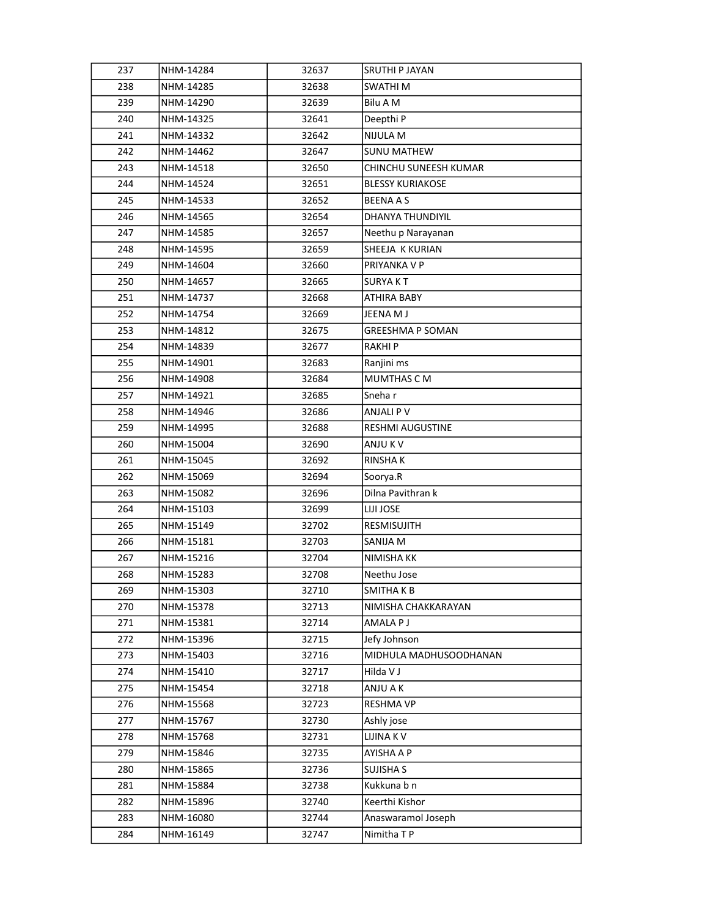| 237 | NHM-14284 | 32637 | SRUTHI P JAYAN          |
|-----|-----------|-------|-------------------------|
| 238 | NHM-14285 | 32638 | SWATHI M                |
| 239 | NHM-14290 | 32639 | Bilu A M                |
| 240 | NHM-14325 | 32641 | Deepthi P               |
| 241 | NHM-14332 | 32642 | NIJULA M                |
| 242 | NHM-14462 | 32647 | <b>SUNU MATHEW</b>      |
| 243 | NHM-14518 | 32650 | CHINCHU SUNEESH KUMAR   |
| 244 | NHM-14524 | 32651 | <b>BLESSY KURIAKOSE</b> |
| 245 | NHM-14533 | 32652 | <b>BEENAAS</b>          |
| 246 | NHM-14565 | 32654 | DHANYA THUNDIYIL        |
| 247 | NHM-14585 | 32657 | Neethu p Narayanan      |
| 248 | NHM-14595 | 32659 | SHEEJA K KURIAN         |
| 249 | NHM-14604 | 32660 | PRIYANKA V P            |
| 250 | NHM-14657 | 32665 | SURYA K T               |
| 251 | NHM-14737 | 32668 | ATHIRA BABY             |
| 252 | NHM-14754 | 32669 | JEENA M J               |
| 253 | NHM-14812 | 32675 | <b>GREESHMA P SOMAN</b> |
| 254 | NHM-14839 | 32677 | RAKHI P                 |
| 255 | NHM-14901 | 32683 | Ranjini ms              |
| 256 | NHM-14908 | 32684 | <b>MUMTHAS C M</b>      |
| 257 | NHM-14921 | 32685 | Sneha r                 |
| 258 | NHM-14946 | 32686 | ANJALI P V              |
| 259 | NHM-14995 | 32688 | <b>RESHMI AUGUSTINE</b> |
| 260 | NHM-15004 | 32690 | ANJU K V                |
| 261 | NHM-15045 | 32692 | RINSHA K                |
| 262 | NHM-15069 | 32694 | Soorya.R                |
| 263 | NHM-15082 | 32696 | Dilna Pavithran k       |
| 264 | NHM-15103 | 32699 | LIJI JOSE               |
| 265 | NHM-15149 | 32702 | RESMISUJITH             |
| 266 | NHM-15181 | 32703 | SANIJA M                |
| 267 | NHM-15216 | 32704 | NIMISHA KK              |
| 268 | NHM-15283 | 32708 | Neethu Jose             |
| 269 | NHM-15303 | 32710 | SMITHA K B              |
| 270 | NHM-15378 | 32713 | NIMISHA CHAKKARAYAN     |
| 271 | NHM-15381 | 32714 | AMALA P J               |
| 272 | NHM-15396 | 32715 | Jefy Johnson            |
| 273 | NHM-15403 | 32716 | MIDHULA MADHUSOODHANAN  |
| 274 | NHM-15410 | 32717 | Hilda V J               |
| 275 | NHM-15454 | 32718 | ANJU A K                |
| 276 | NHM-15568 | 32723 | RESHMA VP               |
| 277 | NHM-15767 | 32730 | Ashly jose              |
| 278 | NHM-15768 | 32731 | LIJINA KV               |
| 279 | NHM-15846 | 32735 | AYISHA A P              |
| 280 | NHM-15865 | 32736 | SUJISHA S               |
| 281 | NHM-15884 | 32738 | Kukkuna b n             |
| 282 | NHM-15896 | 32740 | Keerthi Kishor          |
| 283 | NHM-16080 | 32744 | Anaswaramol Joseph      |
| 284 | NHM-16149 | 32747 | Nimitha T P             |
|     |           |       |                         |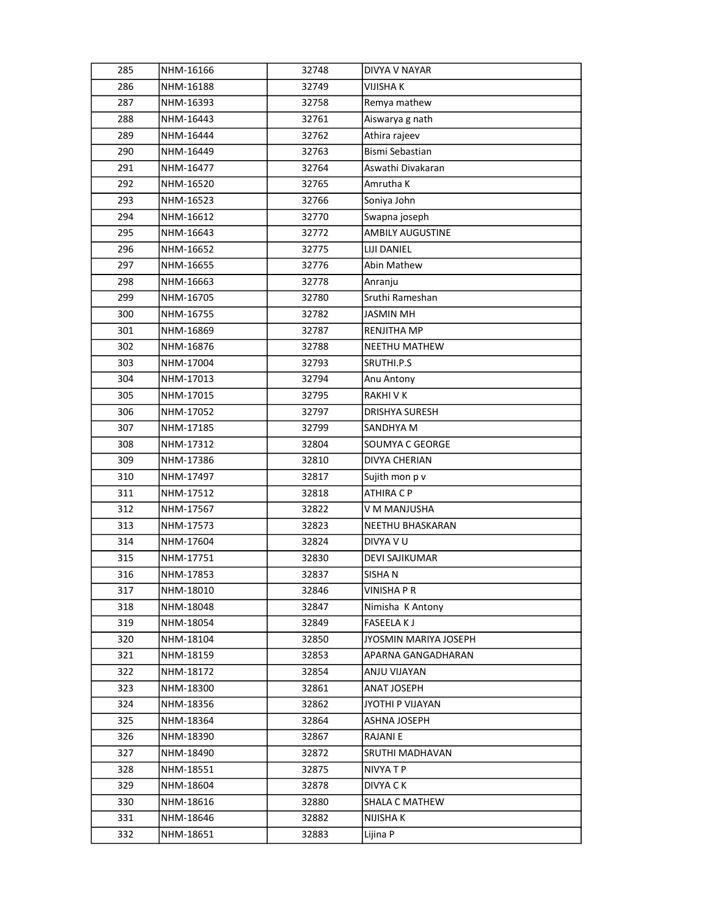| 285 | NHM-16166 | 32748 | DIVYA V NAYAR           |
|-----|-----------|-------|-------------------------|
| 286 | NHM-16188 | 32749 | VIJISHA K               |
| 287 | NHM-16393 | 32758 | Remya mathew            |
| 288 | NHM-16443 | 32761 | Aiswarya g nath         |
| 289 | NHM-16444 | 32762 | Athira rajeev           |
| 290 | NHM-16449 | 32763 | Bismi Sebastian         |
| 291 | NHM-16477 | 32764 | Aswathi Divakaran       |
| 292 | NHM-16520 | 32765 | Amrutha K               |
| 293 | NHM-16523 | 32766 | Soniya John             |
| 294 | NHM-16612 | 32770 | Swapna joseph           |
| 295 | NHM-16643 | 32772 | <b>AMBILY AUGUSTINE</b> |
| 296 | NHM-16652 | 32775 | LIJI DANIEL             |
| 297 | NHM-16655 | 32776 | Abin Mathew             |
| 298 | NHM-16663 | 32778 | Anranju                 |
| 299 | NHM-16705 | 32780 | Sruthi Rameshan         |
| 300 | NHM-16755 | 32782 | <b>JASMIN MH</b>        |
| 301 | NHM-16869 | 32787 | RENJITHA MP             |
| 302 | NHM-16876 | 32788 | <b>NEETHU MATHEW</b>    |
| 303 | NHM-17004 | 32793 | SRUTHI.P.S              |
| 304 | NHM-17013 | 32794 | Anu Antony              |
| 305 | NHM-17015 | 32795 | RAKHI V K               |
| 306 | NHM-17052 | 32797 | <b>DRISHYA SURESH</b>   |
| 307 | NHM-17185 | 32799 | SANDHYA M               |
| 308 | NHM-17312 | 32804 | SOUMYA C GEORGE         |
| 309 | NHM-17386 | 32810 | DIVYA CHERIAN           |
| 310 | NHM-17497 | 32817 | Sujith mon p v          |
| 311 | NHM-17512 | 32818 | ATHIRA C P              |
| 312 | NHM-17567 | 32822 | V M MANJUSHA            |
| 313 | NHM-17573 | 32823 | NEETHU BHASKARAN        |
| 314 | NHM-17604 | 32824 | DIVYA V U               |
| 315 | NHM-17751 | 32830 | <b>DEVI SAJIKUMAR</b>   |
| 316 | NHM-17853 | 32837 | SISHAN                  |
| 317 | NHM-18010 | 32846 | VINISHA P R             |
| 318 | NHM-18048 | 32847 | Nimisha K Antony        |
| 319 | NHM-18054 | 32849 | <b>FASEELAKJ</b>        |
| 320 | NHM-18104 | 32850 | JYOSMIN MARIYA JOSEPH   |
| 321 | NHM-18159 | 32853 | APARNA GANGADHARAN      |
| 322 | NHM-18172 | 32854 | ANJU VIJAYAN            |
| 323 | NHM-18300 | 32861 | ANAT JOSEPH             |
| 324 | NHM-18356 | 32862 | JYOTHI P VIJAYAN        |
| 325 | NHM-18364 | 32864 | ASHNA JOSEPH            |
| 326 | NHM-18390 | 32867 | RAJANI E                |
| 327 | NHM-18490 | 32872 | SRUTHI MADHAVAN         |
| 328 | NHM-18551 | 32875 | NIVYA T P               |
| 329 | NHM-18604 | 32878 | DIVYA C K               |
| 330 | NHM-18616 | 32880 | SHALA C MATHEW          |
| 331 | NHM-18646 | 32882 | NIJISHA K               |
| 332 | NHM-18651 | 32883 | Lijina P                |
|     |           |       |                         |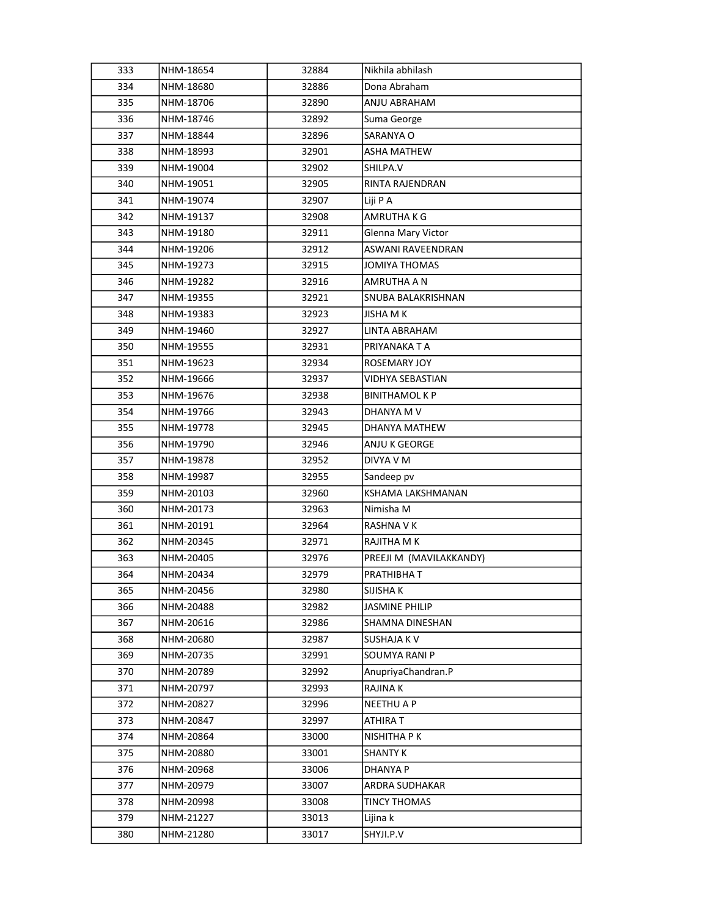| 333 | NHM-18654 | 32884 | Nikhila abhilash        |
|-----|-----------|-------|-------------------------|
| 334 | NHM-18680 | 32886 | Dona Abraham            |
| 335 | NHM-18706 | 32890 | ANJU ABRAHAM            |
| 336 | NHM-18746 | 32892 | Suma George             |
| 337 | NHM-18844 | 32896 | SARANYA O               |
| 338 | NHM-18993 | 32901 | ASHA MATHEW             |
| 339 | NHM-19004 | 32902 | SHILPA.V                |
| 340 | NHM-19051 | 32905 | RINTA RAJENDRAN         |
| 341 | NHM-19074 | 32907 | Liji P A                |
| 342 | NHM-19137 | 32908 | AMRUTHA K G             |
| 343 | NHM-19180 | 32911 | Glenna Mary Victor      |
| 344 | NHM-19206 | 32912 | ASWANI RAVEENDRAN       |
| 345 | NHM-19273 | 32915 | JOMIYA THOMAS           |
| 346 | NHM-19282 | 32916 | AMRUTHA A N             |
| 347 | NHM-19355 | 32921 | SNUBA BALAKRISHNAN      |
| 348 | NHM-19383 | 32923 | JISHA M K               |
| 349 | NHM-19460 | 32927 | LINTA ABRAHAM           |
| 350 | NHM-19555 | 32931 | PRIYANAKA T A           |
| 351 | NHM-19623 | 32934 | ROSEMARY JOY            |
| 352 | NHM-19666 | 32937 | VIDHYA SEBASTIAN        |
| 353 | NHM-19676 | 32938 | <b>BINITHAMOL K P</b>   |
| 354 | NHM-19766 | 32943 | DHANYA M V              |
| 355 | NHM-19778 | 32945 | DHANYA MATHEW           |
| 356 | NHM-19790 | 32946 | ANJU K GEORGE           |
| 357 | NHM-19878 | 32952 | DIVYA V M               |
| 358 | NHM-19987 | 32955 | Sandeep pv              |
| 359 | NHM-20103 | 32960 | KSHAMA LAKSHMANAN       |
| 360 | NHM-20173 | 32963 | Nimisha M               |
| 361 | NHM-20191 | 32964 | RASHNA V K              |
| 362 | NHM-20345 | 32971 | RAJITHA M K             |
| 363 | NHM-20405 | 32976 | PREEJI M (MAVILAKKANDY) |
| 364 | NHM-20434 | 32979 | PRATHIBHA T             |
| 365 | NHM-20456 | 32980 | SIJISHA K               |
| 366 | NHM-20488 | 32982 | <b>JASMINE PHILIP</b>   |
| 367 | NHM-20616 | 32986 | SHAMNA DINESHAN         |
| 368 | NHM-20680 | 32987 | SUSHAJA K V             |
| 369 | NHM-20735 | 32991 | SOUMYA RANI P           |
| 370 | NHM-20789 | 32992 | AnupriyaChandran.P      |
| 371 | NHM-20797 | 32993 | <b>RAJINAK</b>          |
| 372 | NHM-20827 | 32996 | <b>NEETHU A P</b>       |
| 373 | NHM-20847 | 32997 | ATHIRA T                |
| 374 | NHM-20864 | 33000 | NISHITHA P K            |
| 375 | NHM-20880 | 33001 | <b>SHANTY K</b>         |
| 376 | NHM-20968 | 33006 | <b>DHANYA P</b>         |
| 377 | NHM-20979 | 33007 | ARDRA SUDHAKAR          |
| 378 | NHM-20998 | 33008 | TINCY THOMAS            |
| 379 | NHM-21227 | 33013 | Lijina k                |
| 380 | NHM-21280 | 33017 | SHYJI.P.V               |
|     |           |       |                         |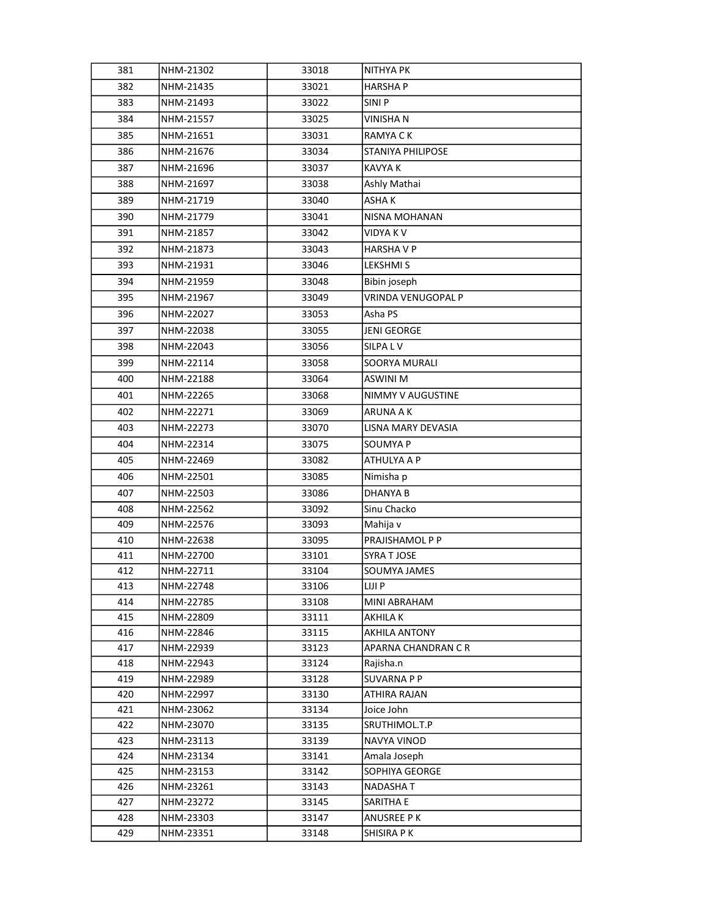| 381        | NHM-21302              | 33018          | <b>NITHYA PK</b>               |
|------------|------------------------|----------------|--------------------------------|
| 382        | NHM-21435              | 33021          | <b>HARSHAP</b>                 |
| 383        | NHM-21493              | 33022          | SINI <sub>P</sub>              |
| 384        | NHM-21557              | 33025          | VINISHA N                      |
| 385        | NHM-21651              | 33031          | RAMYA C K                      |
| 386        | NHM-21676              | 33034          | STANIYA PHILIPOSE              |
| 387        | NHM-21696              | 33037          | KAVYA K                        |
| 388        | NHM-21697              | 33038          | Ashly Mathai                   |
| 389        | NHM-21719              | 33040          | ASHAK                          |
| 390        | NHM-21779              | 33041          | NISNA MOHANAN                  |
| 391        | NHM-21857              | 33042          | <b>VIDYAKV</b>                 |
| 392        | NHM-21873              | 33043          | <b>HARSHAVP</b>                |
| 393        | NHM-21931              | 33046          | LEKSHMI S                      |
| 394        | NHM-21959              | 33048          | Bibin joseph                   |
| 395        | NHM-21967              | 33049          | <b>VRINDA VENUGOPAL P</b>      |
| 396        | NHM-22027              | 33053          | Asha PS                        |
| 397        | NHM-22038              | 33055          | <b>JENI GEORGE</b>             |
| 398        | NHM-22043              | 33056          | SILPA L V                      |
| 399        | NHM-22114              | 33058          | SOORYA MURALI                  |
| 400        | NHM-22188              | 33064          | <b>ASWINI M</b>                |
| 401        | NHM-22265              | 33068          | NIMMY V AUGUSTINE              |
| 402        | NHM-22271              | 33069          | ARUNA A K                      |
| 403        | NHM-22273              | 33070          | LISNA MARY DEVASIA             |
| 404        | NHM-22314              | 33075          | SOUMYA P                       |
| 405        | NHM-22469              | 33082          | ATHULYA A P                    |
| 406        | NHM-22501              | 33085          | Nimisha p                      |
| 407        | NHM-22503              | 33086          | DHANYA B                       |
| 408        | NHM-22562              | 33092          | Sinu Chacko                    |
| 409        | NHM-22576              | 33093          | Mahija v                       |
| 410        | NHM-22638              | 33095          | PRAJISHAMOL P P                |
| 411        | NHM-22700              | 33101          | SYRA T JOSE                    |
| 412        | NHM-22711              | 33104          | SOUMYA JAMES                   |
| 413        | NHM-22748              | 33106          | LIJI P                         |
| 414        | NHM-22785              | 33108          | MINI ABRAHAM                   |
| 415        | NHM-22809              | 33111          | AKHILA K                       |
| 416        | NHM-22846              | 33115          | AKHILA ANTONY                  |
| 417        | NHM-22939              | 33123          | APARNA CHANDRAN C R            |
| 418        | NHM-22943              | 33124          | Rajisha.n                      |
| 419        | NHM-22989              | 33128          | <b>SUVARNA P P</b>             |
| 420        | NHM-22997              | 33130          | ATHIRA RAJAN                   |
| 421        | NHM-23062              | 33134          | Joice John                     |
| 422        | NHM-23070              | 33135          | SRUTHIMOL.T.P<br>NAVYA VINOD   |
| 423        | NHM-23113              | 33139          |                                |
| 424<br>425 | NHM-23134<br>NHM-23153 | 33141<br>33142 | Amala Joseph<br>SOPHIYA GEORGE |
| 426        | NHM-23261              | 33143          | NADASHA T                      |
| 427        | NHM-23272              | 33145          | SARITHA E                      |
| 428        | NHM-23303              | 33147          | ANUSREE P K                    |
| 429        | NHM-23351              | 33148          | SHISIRA P K                    |
|            |                        |                |                                |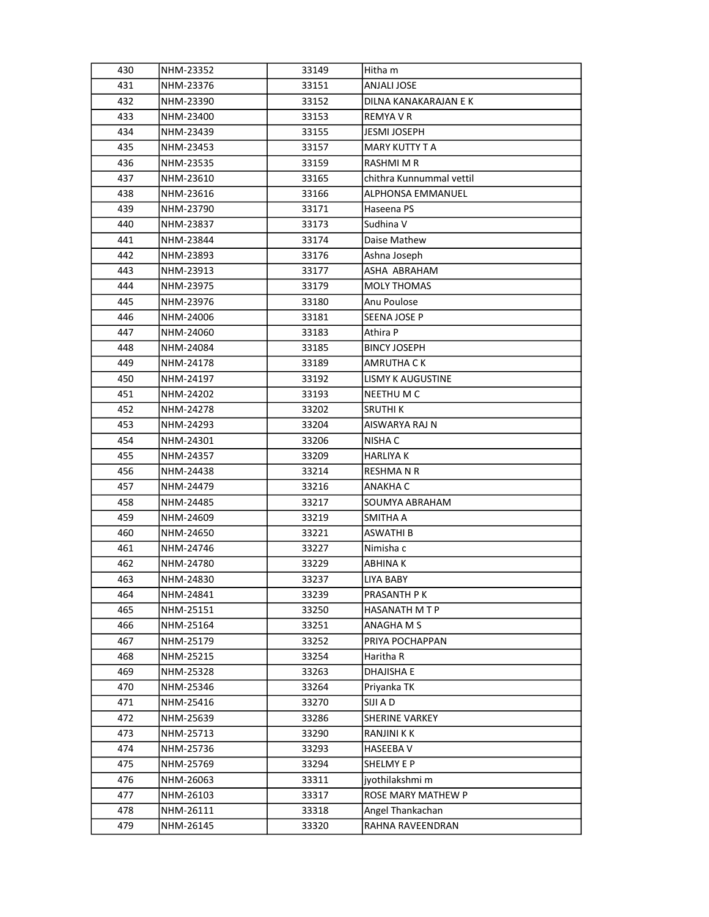| 430 | NHM-23352 | 33149 | Hitha m                  |
|-----|-----------|-------|--------------------------|
| 431 | NHM-23376 | 33151 | ANJALI JOSE              |
| 432 | NHM-23390 | 33152 | DILNA KANAKARAJAN E K    |
| 433 | NHM-23400 | 33153 | REMYA V R                |
| 434 | NHM-23439 | 33155 | JESMI JOSEPH             |
| 435 | NHM-23453 | 33157 | <b>MARY KUTTY T A</b>    |
| 436 | NHM-23535 | 33159 | RASHMI M R               |
| 437 | NHM-23610 | 33165 | chithra Kunnummal vettil |
| 438 | NHM-23616 | 33166 | ALPHONSA EMMANUEL        |
| 439 | NHM-23790 | 33171 | Haseena PS               |
| 440 | NHM-23837 | 33173 | Sudhina V                |
| 441 | NHM-23844 | 33174 | Daise Mathew             |
| 442 | NHM-23893 | 33176 | Ashna Joseph             |
| 443 | NHM-23913 | 33177 | ASHA ABRAHAM             |
| 444 | NHM-23975 | 33179 | <b>MOLY THOMAS</b>       |
| 445 | NHM-23976 | 33180 | Anu Poulose              |
| 446 | NHM-24006 | 33181 | SEENA JOSE P             |
| 447 | NHM-24060 | 33183 | Athira P                 |
| 448 | NHM-24084 | 33185 | BINCY JOSEPH             |
| 449 | NHM-24178 | 33189 | AMRUTHA C K              |
| 450 | NHM-24197 | 33192 | <b>LISMY K AUGUSTINE</b> |
| 451 | NHM-24202 | 33193 | NEETHU M C               |
| 452 | NHM-24278 | 33202 | SRUTHI K                 |
| 453 | NHM-24293 | 33204 | AISWARYA RAJ N           |
| 454 | NHM-24301 | 33206 | NISHA C                  |
| 455 | NHM-24357 | 33209 | <b>HARLIYA K</b>         |
| 456 | NHM-24438 | 33214 | RESHMA N R               |
| 457 | NHM-24479 | 33216 | ANAKHA C                 |
| 458 | NHM-24485 | 33217 | SOUMYA ABRAHAM           |
| 459 | NHM-24609 | 33219 | SMITHA A                 |
| 460 | NHM-24650 | 33221 | ASWATHI B                |
| 461 | NHM-24746 | 33227 | Nimisha c                |
| 462 | NHM-24780 | 33229 | ABHINA K                 |
| 463 | NHM-24830 | 33237 | LIYA BABY                |
| 464 | NHM-24841 | 33239 | PRASANTH P K             |
| 465 | NHM-25151 | 33250 | HASANATH M T P           |
| 466 | NHM-25164 | 33251 | ANAGHA M S               |
| 467 | NHM-25179 | 33252 | PRIYA POCHAPPAN          |
| 468 | NHM-25215 | 33254 | Haritha R                |
| 469 | NHM-25328 | 33263 | <b>DHAJISHA E</b>        |
| 470 | NHM-25346 | 33264 | Priyanka TK              |
| 471 | NHM-25416 | 33270 | SIJI A D                 |
| 472 | NHM-25639 | 33286 | SHERINE VARKEY           |
| 473 | NHM-25713 | 33290 | RANJINI K K              |
| 474 | NHM-25736 | 33293 | HASEEBA V                |
| 475 | NHM-25769 | 33294 | SHELMY E P               |
| 476 | NHM-26063 | 33311 | jyothilakshmi m          |
| 477 | NHM-26103 | 33317 | ROSE MARY MATHEW P       |
| 478 | NHM-26111 | 33318 | Angel Thankachan         |
| 479 | NHM-26145 | 33320 | RAHNA RAVEENDRAN         |
|     |           |       |                          |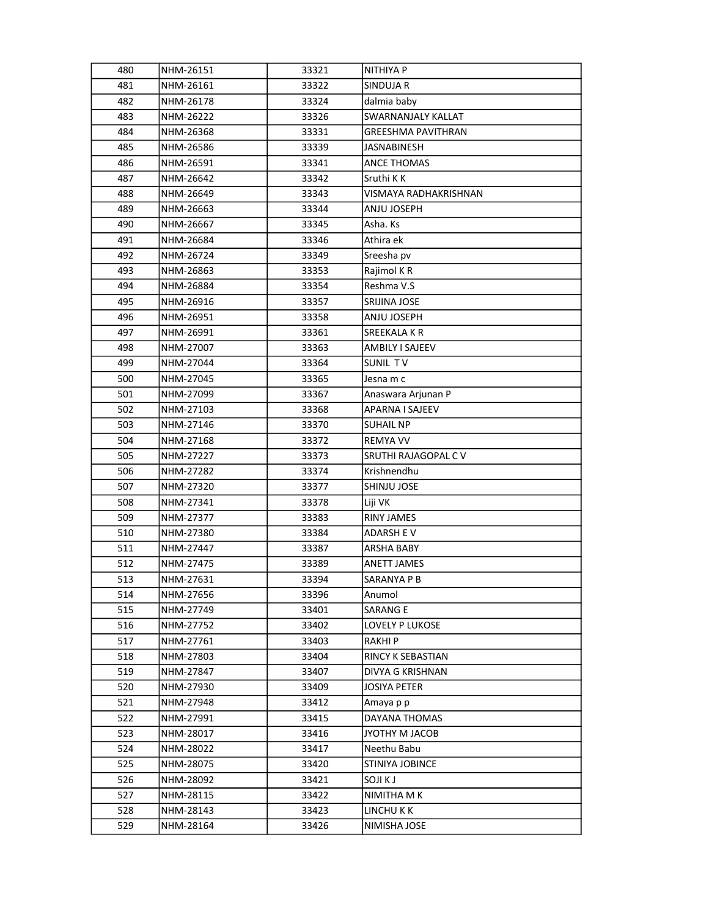| 480 | NHM-26151 | 33321 | NITHIYA P                 |
|-----|-----------|-------|---------------------------|
| 481 | NHM-26161 | 33322 | SINDUJA R                 |
| 482 | NHM-26178 | 33324 | dalmia baby               |
| 483 | NHM-26222 | 33326 | SWARNANJALY KALLAT        |
| 484 | NHM-26368 | 33331 | <b>GREESHMA PAVITHRAN</b> |
| 485 | NHM-26586 | 33339 | JASNABINESH               |
| 486 | NHM-26591 | 33341 | ANCE THOMAS               |
| 487 | NHM-26642 | 33342 | Sruthi K K                |
| 488 | NHM-26649 | 33343 | VISMAYA RADHAKRISHNAN     |
| 489 | NHM-26663 | 33344 | ANJU JOSEPH               |
| 490 | NHM-26667 | 33345 | Asha. Ks                  |
| 491 | NHM-26684 | 33346 | Athira ek                 |
| 492 | NHM-26724 | 33349 | Sreesha pv                |
| 493 | NHM-26863 | 33353 | Rajimol KR                |
| 494 | NHM-26884 | 33354 | Reshma V.S                |
| 495 | NHM-26916 | 33357 | SRIJINA JOSE              |
| 496 | NHM-26951 | 33358 | ANJU JOSEPH               |
| 497 | NHM-26991 | 33361 | SREEKALA KR               |
| 498 | NHM-27007 | 33363 | AMBILY I SAJEEV           |
| 499 | NHM-27044 | 33364 | SUNIL TV                  |
| 500 | NHM-27045 | 33365 | Jesna m c                 |
| 501 | NHM-27099 | 33367 | Anaswara Arjunan P        |
| 502 | NHM-27103 | 33368 | APARNA I SAJEEV           |
| 503 | NHM-27146 | 33370 | SUHAIL NP                 |
| 504 | NHM-27168 | 33372 | REMYA VV                  |
| 505 | NHM-27227 | 33373 | SRUTHI RAJAGOPAL C V      |
| 506 | NHM-27282 | 33374 | Krishnendhu               |
| 507 | NHM-27320 | 33377 | SHINJU JOSE               |
| 508 | NHM-27341 | 33378 | Liji VK                   |
| 509 | NHM-27377 | 33383 | <b>RINY JAMES</b>         |
| 510 | NHM-27380 | 33384 | ADARSH E V                |
| 511 | NHM-27447 | 33387 | ARSHA BABY                |
| 512 | NHM-27475 | 33389 | ANETT JAMES               |
| 513 | NHM-27631 | 33394 | SARANYA P B               |
| 514 | NHM-27656 | 33396 | Anumol                    |
| 515 | NHM-27749 | 33401 | SARANG E                  |
| 516 | NHM-27752 | 33402 | <b>LOVELY P LUKOSE</b>    |
| 517 | NHM-27761 | 33403 | RAKHI P                   |
| 518 | NHM-27803 | 33404 | <b>RINCY K SEBASTIAN</b>  |
| 519 | NHM-27847 | 33407 | DIVYA G KRISHNAN          |
| 520 | NHM-27930 | 33409 | JOSIYA PETER              |
| 521 | NHM-27948 | 33412 | Amaya p p                 |
| 522 | NHM-27991 | 33415 | DAYANA THOMAS             |
| 523 | NHM-28017 | 33416 | JYOTHY M JACOB            |
| 524 | NHM-28022 | 33417 | Neethu Babu               |
| 525 | NHM-28075 | 33420 | STINIYA JOBINCE           |
| 526 | NHM-28092 | 33421 | SOJI K J                  |
| 527 | NHM-28115 | 33422 | NIMITHA M K               |
| 528 | NHM-28143 | 33423 | LINCHU K K                |
|     |           |       |                           |